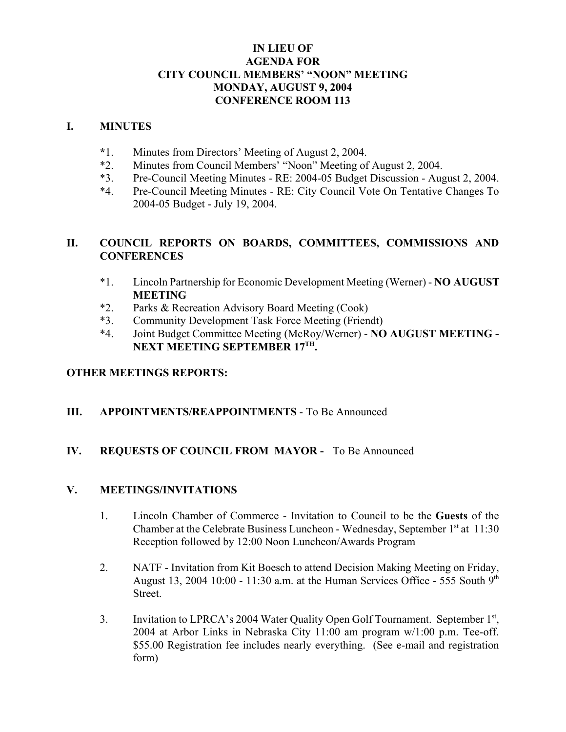# **IN LIEU OF AGENDA FOR CITY COUNCIL MEMBERS' "NOON" MEETING MONDAY, AUGUST 9, 2004 CONFERENCE ROOM 113**

### **I. MINUTES**

- **\***1. Minutes from Directors' Meeting of August 2, 2004.
- \*2. Minutes from Council Members' "Noon" Meeting of August 2, 2004.
- \*3. Pre-Council Meeting Minutes RE: 2004-05 Budget Discussion August 2, 2004.
- \*4. Pre-Council Meeting Minutes RE: City Council Vote On Tentative Changes To 2004-05 Budget - July 19, 2004.

# **II. COUNCIL REPORTS ON BOARDS, COMMITTEES, COMMISSIONS AND CONFERENCES**

- \*1. Lincoln Partnership for Economic Development Meeting (Werner) **NO AUGUST MEETING**
- \*2. Parks & Recreation Advisory Board Meeting (Cook)
- \*3. Community Development Task Force Meeting (Friendt)
- \*4. Joint Budget Committee Meeting (McRoy/Werner) **NO AUGUST MEETING - NEXT MEETING SEPTEMBER 17TH.**

## **OTHER MEETINGS REPORTS:**

## **III. APPOINTMENTS/REAPPOINTMENTS** - To Be Announced

## **IV. REQUESTS OF COUNCIL FROM MAYOR -** To Be Announced

#### **V. MEETINGS/INVITATIONS**

- 1. Lincoln Chamber of Commerce Invitation to Council to be the **Guests** of the Chamber at the Celebrate Business Luncheon - Wednesday, September  $1<sup>st</sup>$  at  $11:30$ Reception followed by 12:00 Noon Luncheon/Awards Program
- 2. NATF Invitation from Kit Boesch to attend Decision Making Meeting on Friday, August 13, 2004 10:00 - 11:30 a.m. at the Human Services Office - 555 South  $9<sup>th</sup>$ Street.
- 3. Invitation to LPRCA's 2004 Water Quality Open Golf Tournament. September 1st, 2004 at Arbor Links in Nebraska City 11:00 am program w/1:00 p.m. Tee-off. \$55.00 Registration fee includes nearly everything. (See e-mail and registration form)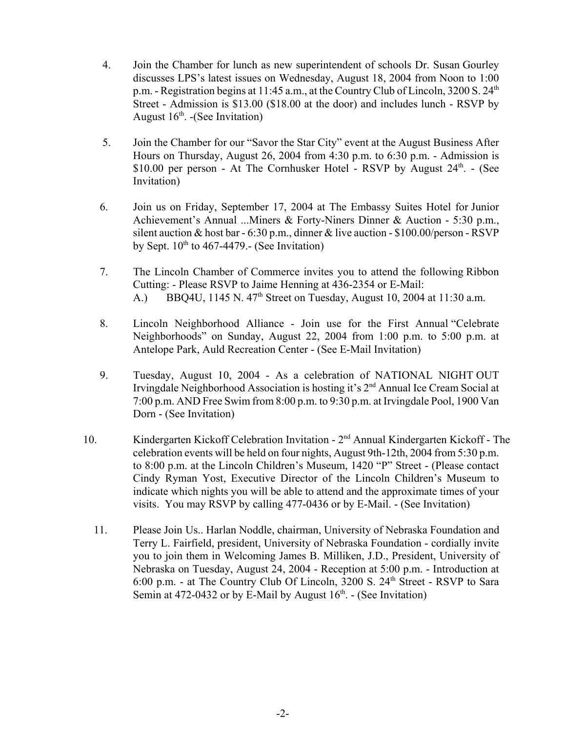- 4. Join the Chamber for lunch as new superintendent of schools Dr. Susan Gourley discusses LPS's latest issues on Wednesday, August 18, 2004 from Noon to 1:00 p.m. - Registration begins at 11:45 a.m., at the Country Club of Lincoln, 3200 S. 24<sup>th</sup> Street - Admission is \$13.00 (\$18.00 at the door) and includes lunch - RSVP by August  $16<sup>th</sup>$ . -(See Invitation)
- 5. Join the Chamber for our "Savor the Star City" event at the August Business After Hours on Thursday, August 26, 2004 from 4:30 p.m. to 6:30 p.m. - Admission is \$10.00 per person - At The Cornhusker Hotel - RSVP by August  $24<sup>th</sup>$ . - (See Invitation)
- 6. Join us on Friday, September 17, 2004 at The Embassy Suites Hotel for Junior Achievement's Annual ...Miners & Forty-Niners Dinner & Auction - 5:30 p.m., silent auction & host bar - 6:30 p.m., dinner & live auction - \$100.00/person - RSVP by Sept.  $10^{th}$  to 467-4479.- (See Invitation)
- 7. The Lincoln Chamber of Commerce invites you to attend the following Ribbon Cutting: - Please RSVP to Jaime Henning at 436-2354 or E-Mail: A.) BBQ4U, 1145 N. 47<sup>th</sup> Street on Tuesday, August 10, 2004 at 11:30 a.m.
- 8. Lincoln Neighborhood Alliance Join use for the First Annual "Celebrate Neighborhoods" on Sunday, August 22, 2004 from 1:00 p.m. to 5:00 p.m. at Antelope Park, Auld Recreation Center - (See E-Mail Invitation)
- 9. Tuesday, August 10, 2004 As a celebration of NATIONAL NIGHT OUT Irvingdale Neighborhood Association is hosting it's 2<sup>nd</sup> Annual Ice Cream Social at 7:00 p.m. AND Free Swim from 8:00 p.m. to 9:30 p.m. at Irvingdale Pool, 1900 Van Dorn - (See Invitation)
- 10. Kindergarten Kickoff Celebration Invitation 2nd Annual Kindergarten Kickoff The celebration events will be held on four nights, August 9th-12th, 2004 from 5:30 p.m. to 8:00 p.m. at the Lincoln Children's Museum, 1420 "P" Street - (Please contact Cindy Ryman Yost, Executive Director of the Lincoln Children's Museum to indicate which nights you will be able to attend and the approximate times of your visits. You may RSVP by calling 477-0436 or by E-Mail. - (See Invitation)
	- 11. Please Join Us.. Harlan Noddle, chairman, University of Nebraska Foundation and Terry L. Fairfield, president, University of Nebraska Foundation - cordially invite you to join them in Welcoming James B. Milliken, J.D., President, University of Nebraska on Tuesday, August 24, 2004 - Reception at 5:00 p.m. - Introduction at 6:00 p.m. - at The Country Club Of Lincoln, 3200 S. 24<sup>th</sup> Street - RSVP to Sara Semin at 472-0432 or by E-Mail by August  $16<sup>th</sup>$ . - (See Invitation)